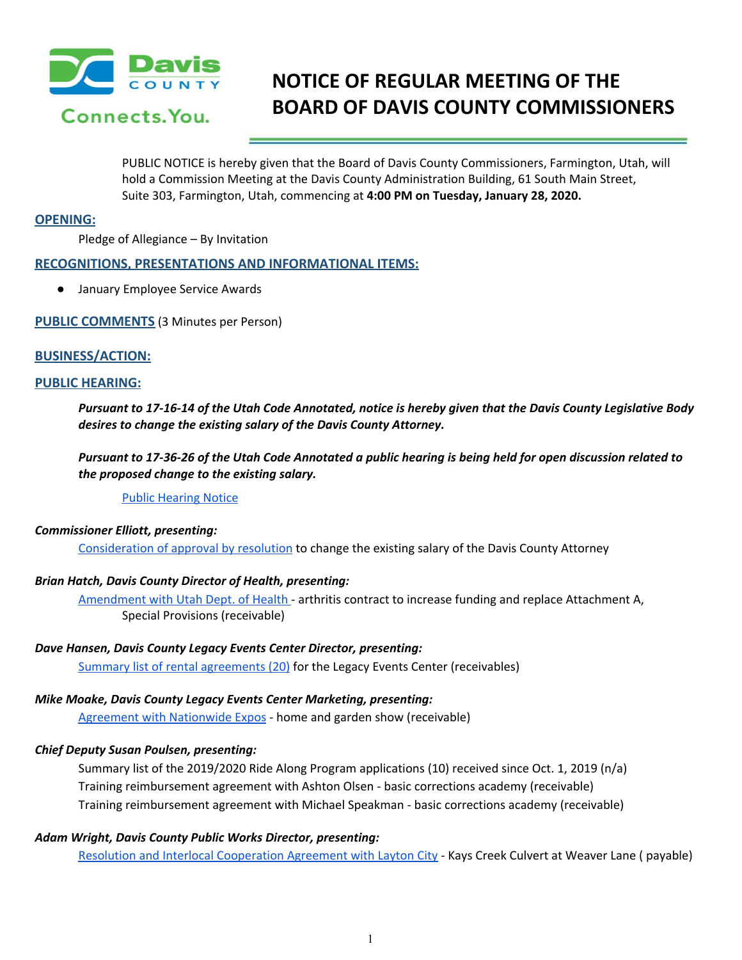

# **NOTICE OF REGULAR MEETING OF THE BOARD OF DAVIS COUNTY COMMISSIONERS**

PUBLIC NOTICE is hereby given that the Board of Davis County Commissioners, Farmington, Utah, will hold a Commission Meeting at the Davis County Administration Building, 61 South Main Street, Suite 303, Farmington, Utah, commencing at **4:00 PM on Tuesday, January 28, 2020.**

### **OPENING:**

Pledge of Allegiance – By Invitation

# **RECOGNITIONS, PRESENTATIONS AND INFORMATIONAL ITEMS:**

● January Employee Service Awards

**PUBLIC COMMENTS** (3 Minutes per Person)

# **BUSINESS/ACTION:**

#### **PUBLIC HEARING:**

Pursuant to 17-16-14 of the Utah Code Annotated, notice is hereby given that the Davis County Legislative Body *desires to change the existing salary of the Davis County Attorney.*

Pursuant to 17-36-26 of the Utah Code Annotated a public hearing is being held for open discussion related to *the proposed change to the existing salary.*

Public [Hearing](https://drive.google.com/a/co.davis.ut.us/file/d/1I8Hzmcy6wgVvss351jqZP6cVeJkacRho/view?usp=drivesdk) Notice

#### *Commissioner Elliott, presenting:*

[Consideration](https://drive.google.com/a/co.davis.ut.us/file/d/1RgyEObLe1vl-3VtgjbjT4vwK1OsUy-As/view?usp=drivesdk) of approval by resolution to change the existing salary of the Davis County Attorney

# *Brian Hatch, Davis County Director of Health, presenting:*

[Amendment](https://drive.google.com/a/co.davis.ut.us/file/d/1vphF9gpBgKCQpW_X6B5d1INeNHL2S5ZA/view?usp=drivesdk) with Utah Dept. of Health - arthritis contract to increase funding and replace Attachment A, Special Provisions (receivable)

# *Dave Hansen, Davis County Legacy Events Center Director, presenting:*

Summary list of rental [agreements](https://drive.google.com/a/co.davis.ut.us/file/d/1CtoWEz0la_0-eqX9KSM38aipWF8TOx5g/view?usp=drivesdk) (20) for the Legacy Events Center (receivables)

#### *Mike Moake, Davis County Legacy Events Center Marketing, presenting:*

Agreement with [Nationwide](https://drive.google.com/a/co.davis.ut.us/file/d/1PVy4XbgnBUslOiQMnrsz34DbW5V_r-lF/view?usp=drivesdk) Expos - home and garden show (receivable)

# *Chief Deputy Susan Poulsen, presenting:*

Summary list of the 2019/2020 Ride Along Program applications (10) received since Oct. 1, 2019 (n/a) Training reimbursement agreement with Ashton Olsen - basic corrections academy (receivable) Training reimbursement agreement with Michael Speakman - basic corrections academy (receivable)

# *Adam Wright, Davis County Public Works Director, presenting:*

Resolution and Interlocal [Cooperation](https://drive.google.com/a/co.davis.ut.us/file/d/1ImxKMGuELNTnWcrZM1PcnHTSisZf7WEP/view?usp=drivesdk) Agreement with Layton City - Kays Creek Culvert at Weaver Lane ( payable)